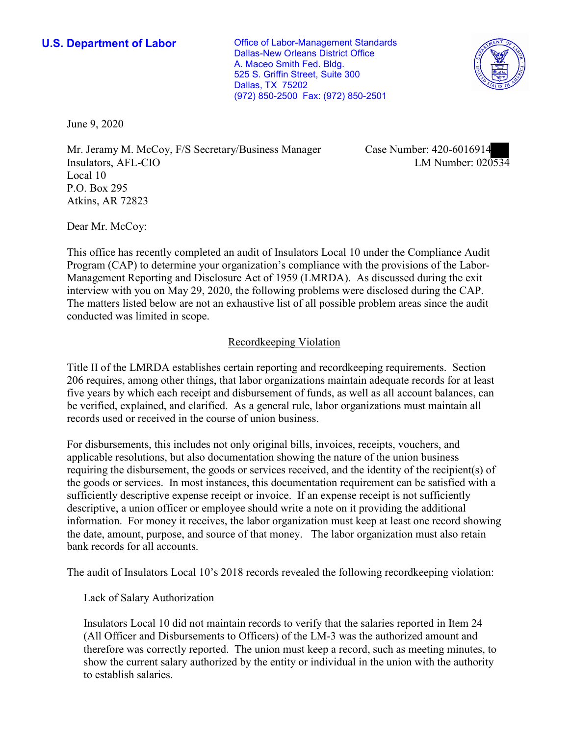**U.S. Department of Labor Conservative Conservative Conservative Conservative Conservative Conservative Conservative Conservative Conservative Conservative Conservative Conservative Conservative Conservative Conservative** Dallas-New Orleans District Office A. Maceo Smith Fed. Bldg. 525 S. Griffin Street, Suite 300 Dallas, TX 75202 (972) 850-2500 Fax: (972) 850-2501



June 9, 2020

Mr. Jeramy M. McCoy, F/S Secretary/Business Manager Insulators, AFL-CIO Local 10 P.O. Box 295 Atkins, AR 72823

Case Number: 420-6016914<br>LM Number: 020534

Dear Mr. McCoy:

 This office has recently completed an audit of Insulators Local 10 under the Compliance Audit The matters listed below are not an exhaustive list of all possible problem areas since the audit Program (CAP) to determine your organization's compliance with the provisions of the Labor-Management Reporting and Disclosure Act of 1959 (LMRDA). As discussed during the exit interview with you on May 29, 2020, the following problems were disclosed during the CAP. conducted was limited in scope.

## Recordkeeping Violation

 Title II of the LMRDA establishes certain reporting and recordkeeping requirements. Section 206 requires, among other things, that labor organizations maintain adequate records for at least five years by which each receipt and disbursement of funds, as well as all account balances, can be verified, explained, and clarified. As a general rule, labor organizations must maintain all records used or received in the course of union business.

For disbursements, this includes not only original bills, invoices, receipts, vouchers, and applicable resolutions, but also documentation showing the nature of the union business requiring the disbursement, the goods or services received, and the identity of the recipient(s) of the goods or services. In most instances, this documentation requirement can be satisfied with a sufficiently descriptive expense receipt or invoice. If an expense receipt is not sufficiently descriptive, a union officer or employee should write a note on it providing the additional information. For money it receives, the labor organization must keep at least one record showing the date, amount, purpose, and source of that money. The labor organization must also retain bank records for all accounts.

The audit of Insulators Local 10's 2018 records revealed the following recordkeeping violation:

Lack of Salary Authorization

Insulators Local 10 did not maintain records to verify that the salaries reported in Item 24 (All Officer and Disbursements to Officers) of the LM-3 was the authorized amount and therefore was correctly reported. The union must keep a record, such as meeting minutes, to show the current salary authorized by the entity or individual in the union with the authority to establish salaries.